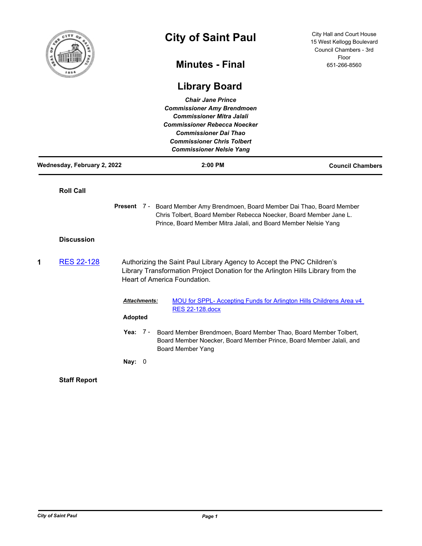

## **City of Saint Paul**

City Hall and Court House 15 West Kellogg Boulevard Council Chambers - 3rd Floor 651-266-8560

## **Minutes - Final**

## **Library Board**

| <b>Chair Jane Prince</b><br><b>Commissioner Amy Brendmoen</b><br><b>Commissioner Mitra Jalali</b><br><b>Commissioner Rebecca Noecker</b><br><b>Commissioner Dai Thao</b><br><b>Commissioner Chris Tolbert</b><br><b>Commissioner Nelsie Yang</b> |                             |                                                                                                                                                                                            |                                                                                                                                                                                                                     |                         |  |
|--------------------------------------------------------------------------------------------------------------------------------------------------------------------------------------------------------------------------------------------------|-----------------------------|--------------------------------------------------------------------------------------------------------------------------------------------------------------------------------------------|---------------------------------------------------------------------------------------------------------------------------------------------------------------------------------------------------------------------|-------------------------|--|
|                                                                                                                                                                                                                                                  | Wednesday, February 2, 2022 |                                                                                                                                                                                            | 2:00 PM                                                                                                                                                                                                             | <b>Council Chambers</b> |  |
|                                                                                                                                                                                                                                                  | <b>Roll Call</b>            |                                                                                                                                                                                            |                                                                                                                                                                                                                     |                         |  |
|                                                                                                                                                                                                                                                  |                             |                                                                                                                                                                                            | Present 7 - Board Member Amy Brendmoen, Board Member Dai Thao, Board Member<br>Chris Tolbert, Board Member Rebecca Noecker, Board Member Jane L.<br>Prince, Board Member Mitra Jalali, and Board Member Nelsie Yang |                         |  |
|                                                                                                                                                                                                                                                  | <b>Discussion</b>           |                                                                                                                                                                                            |                                                                                                                                                                                                                     |                         |  |
| 1                                                                                                                                                                                                                                                | <b>RES 22-128</b>           | Authorizing the Saint Paul Library Agency to Accept the PNC Children's<br>Library Transformation Project Donation for the Arlington Hills Library from the<br>Heart of America Foundation. |                                                                                                                                                                                                                     |                         |  |
|                                                                                                                                                                                                                                                  |                             | Attachments:<br><b>Adopted</b>                                                                                                                                                             | MOU for SPPL- Accepting Funds for Arlington Hills Childrens Area v4<br><b>RES 22-128.docx</b>                                                                                                                       |                         |  |
|                                                                                                                                                                                                                                                  |                             | Yea: $7 -$                                                                                                                                                                                 | Board Member Brendmoen, Board Member Thao, Board Member Tolbert,<br>Board Member Noecker, Board Member Prince, Board Member Jalali, and<br><b>Board Member Yang</b>                                                 |                         |  |
|                                                                                                                                                                                                                                                  |                             | Nay: $0$                                                                                                                                                                                   |                                                                                                                                                                                                                     |                         |  |
|                                                                                                                                                                                                                                                  | <b>Staff Report</b>         |                                                                                                                                                                                            |                                                                                                                                                                                                                     |                         |  |